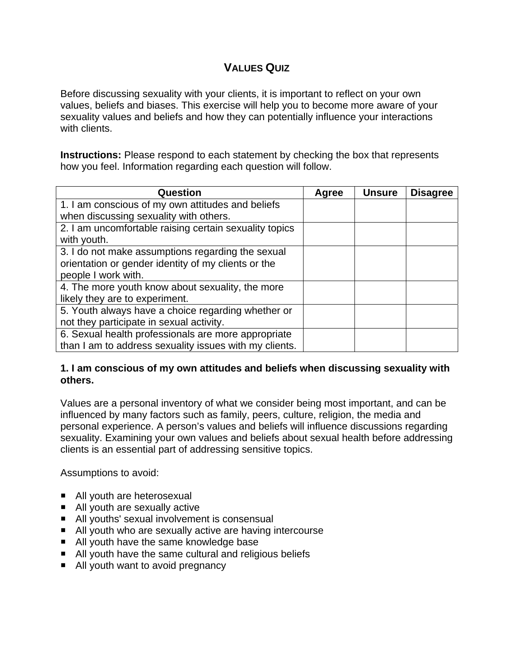# **VALUES QUIZ**

Before discussing sexuality with your clients, it is important to reflect on your own values, beliefs and biases. This exercise will help you to become more aware of your sexuality values and beliefs and how they can potentially influence your interactions with clients.

**Instructions:** Please respond to each statement by checking the box that represents how you feel. Information regarding each question will follow.

| Question                                               | Agree | <b>Unsure</b> | <b>Disagree</b> |
|--------------------------------------------------------|-------|---------------|-----------------|
| 1. I am conscious of my own attitudes and beliefs      |       |               |                 |
| when discussing sexuality with others.                 |       |               |                 |
| 2. I am uncomfortable raising certain sexuality topics |       |               |                 |
| with youth.                                            |       |               |                 |
| 3. I do not make assumptions regarding the sexual      |       |               |                 |
| orientation or gender identity of my clients or the    |       |               |                 |
| people I work with.                                    |       |               |                 |
| 4. The more youth know about sexuality, the more       |       |               |                 |
| likely they are to experiment.                         |       |               |                 |
| 5. Youth always have a choice regarding whether or     |       |               |                 |
| not they participate in sexual activity.               |       |               |                 |
| 6. Sexual health professionals are more appropriate    |       |               |                 |
| than I am to address sexuality issues with my clients. |       |               |                 |

### **1. I am conscious of my own attitudes and beliefs when discussing sexuality with others.**

Values are a personal inventory of what we consider being most important, and can be influenced by many factors such as family, peers, culture, religion, the media and personal experience. A person's values and beliefs will influence discussions regarding sexuality. Examining your own values and beliefs about sexual health before addressing clients is an essential part of addressing sensitive topics.

Assumptions to avoid:

- All youth are heterosexual
- All youth are sexually active
- All youths' sexual involvement is consensual
- All youth who are sexually active are having intercourse
- All youth have the same knowledge base
- All youth have the same cultural and religious beliefs
- All youth want to avoid pregnancy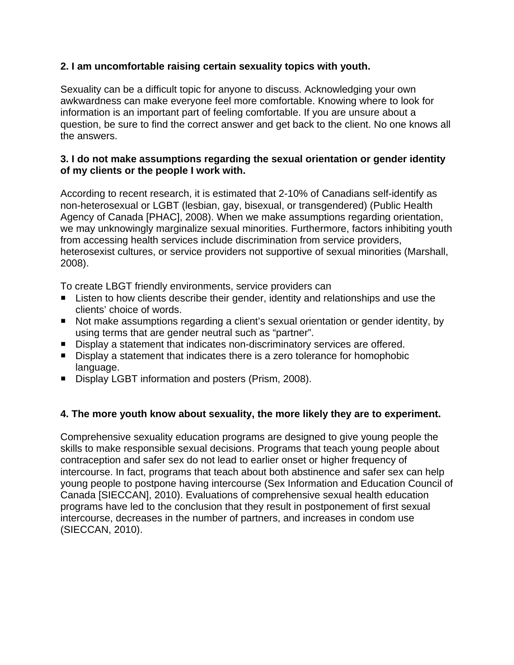### **2. I am uncomfortable raising certain sexuality topics with youth.**

Sexuality can be a difficult topic for anyone to discuss. Acknowledging your own awkwardness can make everyone feel more comfortable. Knowing where to look for information is an important part of feeling comfortable. If you are unsure about a question, be sure to find the correct answer and get back to the client. No one knows all the answers.

### **3. I do not make assumptions regarding the sexual orientation or gender identity of my clients or the people I work with.**

According to recent research, it is estimated that 2-10% of Canadians self-identify as non-heterosexual or LGBT (lesbian, gay, bisexual, or transgendered) (Public Health Agency of Canada [PHAC], 2008). When we make assumptions regarding orientation, we may unknowingly marginalize sexual minorities. Furthermore, factors inhibiting youth from accessing health services include discrimination from service providers, heterosexist cultures, or service providers not supportive of sexual minorities (Marshall, 2008).

To create LBGT friendly environments, service providers can

- Listen to how clients describe their gender, identity and relationships and use the clients' choice of words.
- Not make assumptions regarding a client's sexual orientation or gender identity, by using terms that are gender neutral such as "partner".
- Display a statement that indicates non-discriminatory services are offered.
- Display a statement that indicates there is a zero tolerance for homophobic language.
- Display LGBT information and posters (Prism, 2008).

## **4. The more youth know about sexuality, the more likely they are to experiment.**

Comprehensive sexuality education programs are designed to give young people the skills to make responsible sexual decisions. Programs that teach young people about contraception and safer sex do not lead to earlier onset or higher frequency of intercourse. In fact, programs that teach about both abstinence and safer sex can help young people to postpone having intercourse (Sex Information and Education Council of Canada [SIECCAN], 2010). Evaluations of comprehensive sexual health education programs have led to the conclusion that they result in postponement of first sexual intercourse, decreases in the number of partners, and increases in condom use (SIECCAN, 2010).